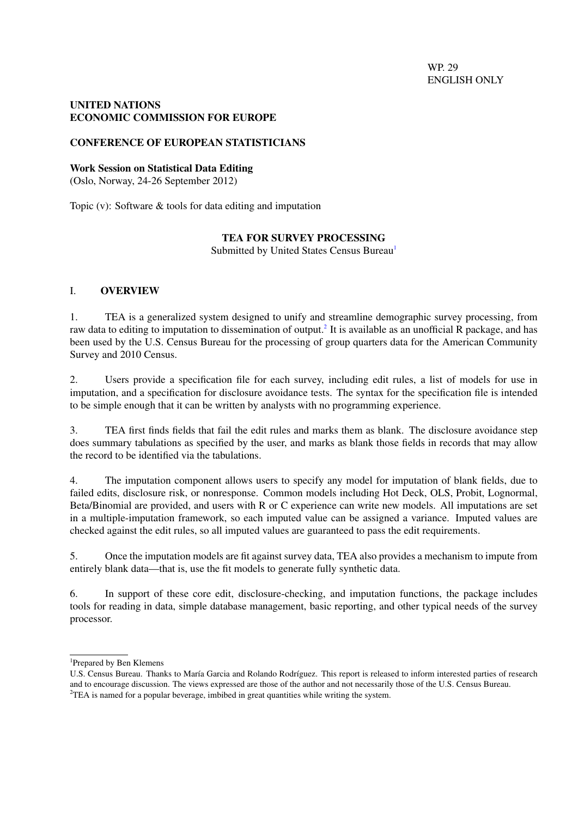WP. 29 ENGLISH ONLY

### <span id="page-0-0"></span>UNITED NATIONS ECONOMIC COMMISSION FOR EUROPE

### CONFERENCE OF EUROPEAN STATISTICIANS

#### Work Session on Statistical Data Editing

(Oslo, Norway, 24-26 September 2012)

Topic (v): Software & tools for data editing and imputation

### TEA FOR SURVEY PROCESSING

Submitted by United States Census Bureau<sup>1</sup>

### I. OVERVIEW

1. TEA is a generalized system designed to unify and streamline demographic survey processing, from raw data to editing to imputation to dissemination of output.<sup>2</sup> It is available as an unofficial R package, and has been used by the U.S. Census Bureau for the processing of group quarters data for the American Community Survey and 2010 Census.

2. Users provide a specification file for each survey, including edit rules, a list of models for use in imputation, and a specification for disclosure avoidance tests. The syntax for the specification file is intended to be simple enough that it can be written by analysts with no programming experience.

3. TEA first finds fields that fail the edit rules and marks them as blank. The disclosure avoidance step does summary tabulations as specified by the user, and marks as blank those fields in records that may allow the record to be identified via the tabulations.

4. The imputation component allows users to specify any model for imputation of blank fields, due to failed edits, disclosure risk, or nonresponse. Common models including Hot Deck, OLS, Probit, Lognormal, Beta/Binomial are provided, and users with R or C experience can write new models. All imputations are set in a multiple-imputation framework, so each imputed value can be assigned a variance. Imputed values are checked against the edit rules, so all imputed values are guaranteed to pass the edit requirements.

5. Once the imputation models are fit against survey data, TEA also provides a mechanism to impute from entirely blank data—that is, use the fit models to generate fully synthetic data.

6. In support of these core edit, disclosure-checking, and imputation functions, the package includes tools for reading in data, simple database management, basic reporting, and other typical needs of the survey processor.

<sup>1</sup>Prepared by Ben Klemens

U.S. Census Bureau. Thanks to María Garcia and Rolando Rodríguez. This report is released to inform interested parties of research and to encourage discussion. The views expressed are those of the author and not necessarily those of the U.S. Census Bureau.  $2TEA$  is named for a popular beverage, imbibed in great quantities while writing the system.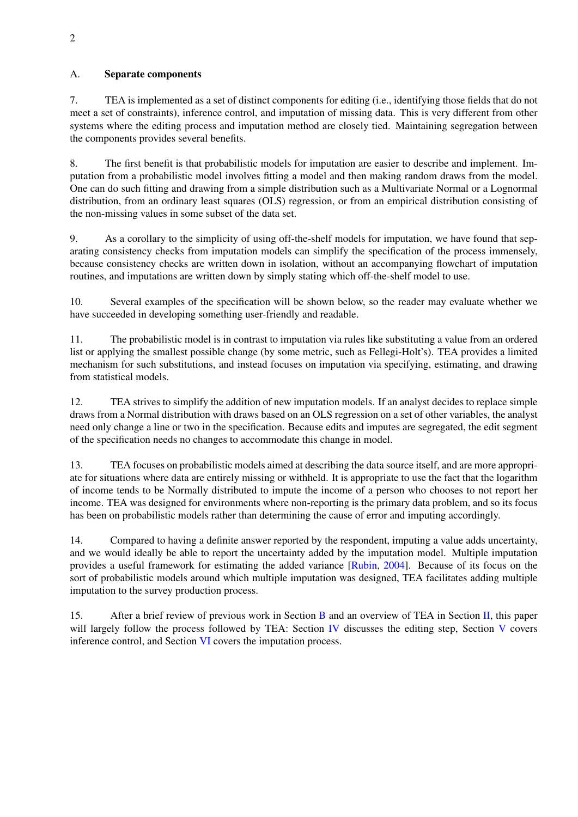### A. Separate components

7. TEA is implemented as a set of distinct components for editing (i.e., identifying those fields that do not meet a set of constraints), inference control, and imputation of missing data. This is very different from other systems where the editing process and imputation method are closely tied. Maintaining segregation between the components provides several benefits.

8. The first benefit is that probabilistic models for imputation are easier to describe and implement. Imputation from a probabilistic model involves fitting a model and then making random draws from the model. One can do such fitting and drawing from a simple distribution such as a Multivariate Normal or a Lognormal distribution, from an ordinary least squares (OLS) regression, or from an empirical distribution consisting of the non-missing values in some subset of the data set.

9. As a corollary to the simplicity of using off-the-shelf models for imputation, we have found that separating consistency checks from imputation models can simplify the specification of the process immensely, because consistency checks are written down in isolation, without an accompanying flowchart of imputation routines, and imputations are written down by simply stating which off-the-shelf model to use.

10. Several examples of the specification will be shown below, so the reader may evaluate whether we have succeeded in developing something user-friendly and readable.

11. The probabilistic model is in contrast to imputation via rules like substituting a value from an ordered list or applying the smallest possible change (by some metric, such as Fellegi-Holt's). TEA provides a limited mechanism for such substitutions, and instead focuses on imputation via specifying, estimating, and drawing from statistical models.

12. TEA strives to simplify the addition of new imputation models. If an analyst decides to replace simple draws from a Normal distribution with draws based on an OLS regression on a set of other variables, the analyst need only change a line or two in the specification. Because edits and imputes are segregated, the edit segment of the specification needs no changes to accommodate this change in model.

13. TEA focuses on probabilistic models aimed at describing the data source itself, and are more appropriate for situations where data are entirely missing or withheld. It is appropriate to use the fact that the logarithm of income tends to be Normally distributed to impute the income of a person who chooses to not report her income. TEA was designed for environments where non-reporting is the primary data problem, and so its focus has been on probabilistic models rather than determining the cause of error and imputing accordingly.

14. Compared to having a definite answer reported by the respondent, imputing a value adds uncertainty, and we would ideally be able to report the uncertainty added by the imputation model. Multiple imputation provides a useful framework for estimating the added variance [\[Rubin,](#page-11-0) [2004\]](#page-11-0). Because of its focus on the sort of probabilistic models around which multiple imputation was designed, TEA facilitates adding multiple imputation to the survey production process.

15. After a brief review of previous work in Section [B](#page-2-0) and an overview of TEA in Section [II,](#page-2-1) this paper will largely follow the process followed by TEA: Section [IV](#page-6-0) discusses the editing step, Section [V](#page-8-0) covers inference control, and Section [VI](#page-8-1) covers the imputation process.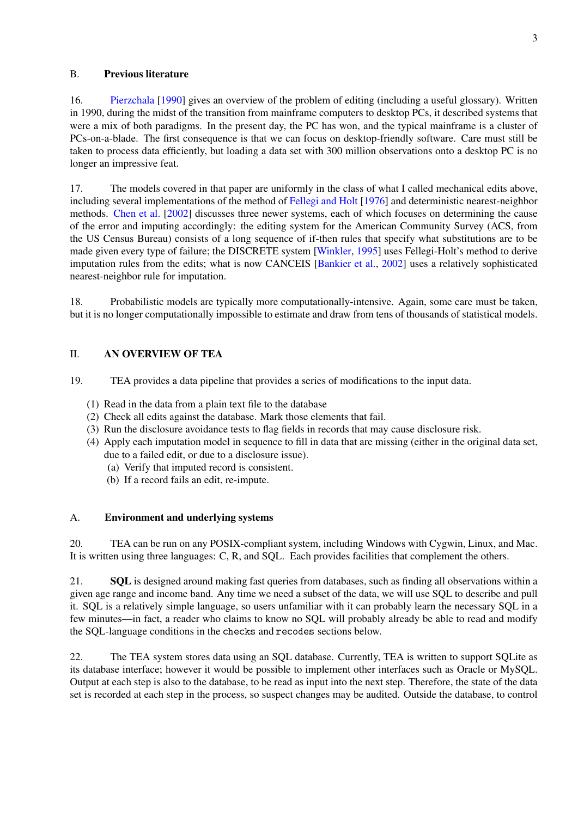### <span id="page-2-0"></span>B. Previous literature

16. [Pierzchala](#page-11-1) [\[1990\]](#page-11-1) gives an overview of the problem of editing (including a useful glossary). Written in 1990, during the midst of the transition from mainframe computers to desktop PCs, it described systems that were a mix of both paradigms. In the present day, the PC has won, and the typical mainframe is a cluster of PCs-on-a-blade. The first consequence is that we can focus on desktop-friendly software. Care must still be taken to process data efficiently, but loading a data set with 300 million observations onto a desktop PC is no longer an impressive feat.

17. The models covered in that paper are uniformly in the class of what I called mechanical edits above, including several implementations of the method of [Fellegi and Holt](#page-11-2) [\[1976\]](#page-11-2) and deterministic nearest-neighbor methods. [Chen et al.](#page-11-3) [\[2002\]](#page-11-3) discusses three newer systems, each of which focuses on determining the cause of the error and imputing accordingly: the editing system for the American Community Survey (ACS, from the US Census Bureau) consists of a long sequence of if-then rules that specify what substitutions are to be made given every type of failure; the DISCRETE system [\[Winkler,](#page-11-4) [1995\]](#page-11-4) uses Fellegi-Holt's method to derive imputation rules from the edits; what is now CANCEIS [\[Bankier et al.,](#page-11-5) [2002\]](#page-11-5) uses a relatively sophisticated nearest-neighbor rule for imputation.

18. Probabilistic models are typically more computationally-intensive. Again, some care must be taken, but it is no longer computationally impossible to estimate and draw from tens of thousands of statistical models.

## <span id="page-2-1"></span>II. AN OVERVIEW OF TEA

19. TEA provides a data pipeline that provides a series of modifications to the input data.

- (1) Read in the data from a plain text file to the database
- (2) Check all edits against the database. Mark those elements that fail.
- (3) Run the disclosure avoidance tests to flag fields in records that may cause disclosure risk.
- (4) Apply each imputation model in sequence to fill in data that are missing (either in the original data set, due to a failed edit, or due to a disclosure issue).
	- (a) Verify that imputed record is consistent.
	- (b) If a record fails an edit, re-impute.

### A. Environment and underlying systems

20. TEA can be run on any POSIX-compliant system, including Windows with Cygwin, Linux, and Mac. It is written using three languages: C, R, and SQL. Each provides facilities that complement the others.

21. SQL is designed around making fast queries from databases, such as finding all observations within a given age range and income band. Any time we need a subset of the data, we will use SQL to describe and pull it. SQL is a relatively simple language, so users unfamiliar with it can probably learn the necessary SQL in a few minutes—in fact, a reader who claims to know no SQL will probably already be able to read and modify the SQL-language conditions in the checks and recodes sections below.

22. The TEA system stores data using an SQL database. Currently, TEA is written to support SQLite as its database interface; however it would be possible to implement other interfaces such as Oracle or MySQL. Output at each step is also to the database, to be read as input into the next step. Therefore, the state of the data set is recorded at each step in the process, so suspect changes may be audited. Outside the database, to control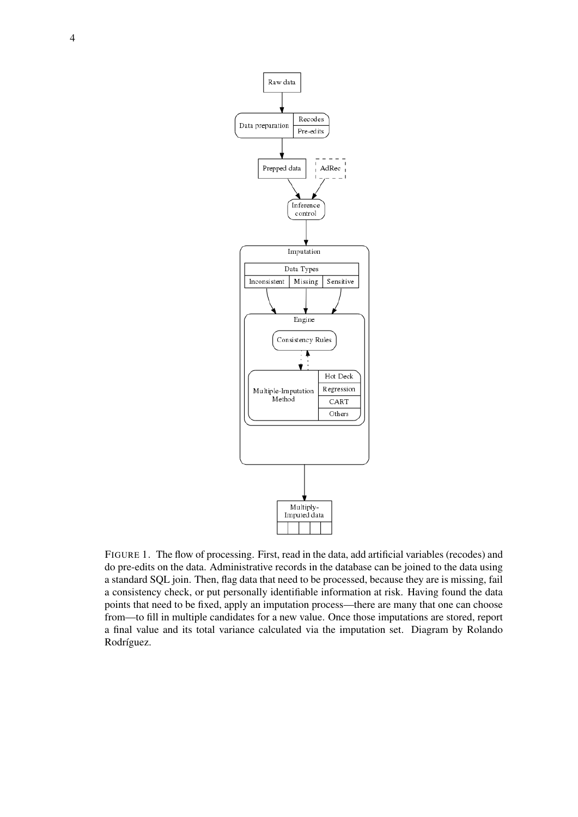

FIGURE 1. The flow of processing. First, read in the data, add artificial variables (recodes) and do pre-edits on the data. Administrative records in the database can be joined to the data using a standard SQL join. Then, flag data that need to be processed, because they are is missing, fail a consistency check, or put personally identifiable information at risk. Having found the data points that need to be fixed, apply an imputation process—there are many that one can choose from—to fill in multiple candidates for a new value. Once those imputations are stored, report a final value and its total variance calculated via the imputation set. Diagram by Rolando Rodríguez.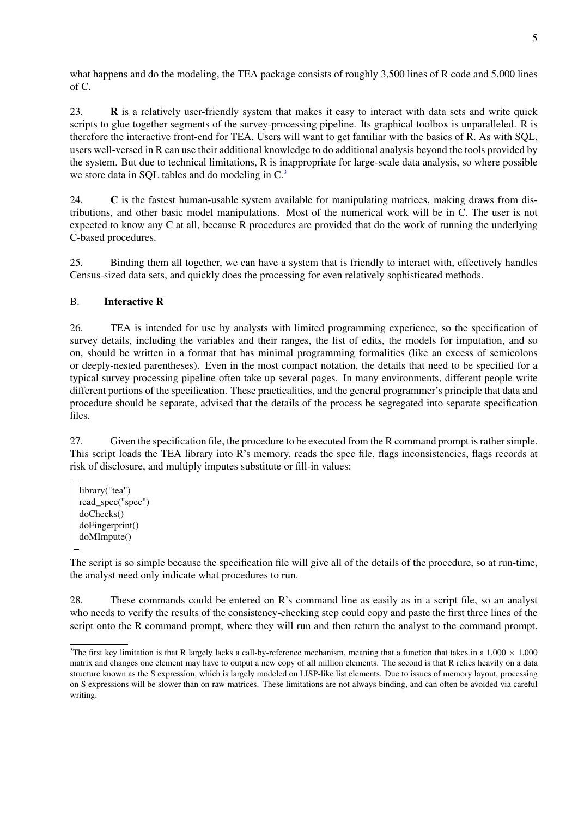what happens and do the modeling, the TEA package consists of roughly 3,500 lines of R code and 5,000 lines of C.

23. R is a relatively user-friendly system that makes it easy to interact with data sets and write quick scripts to glue together segments of the survey-processing pipeline. Its graphical toolbox is unparalleled. R is therefore the interactive front-end for TEA. Users will want to get familiar with the basics of R. As with SQL, users well-versed in R can use their additional knowledge to do additional analysis beyond the tools provided by the system. But due to technical limitations, R is inappropriate for large-scale data analysis, so where possible we store data in SQL tables and do modeling in C.<sup>[3](#page-0-0)</sup>

24. C is the fastest human-usable system available for manipulating matrices, making draws from distributions, and other basic model manipulations. Most of the numerical work will be in C. The user is not expected to know any C at all, because R procedures are provided that do the work of running the underlying C-based procedures.

25. Binding them all together, we can have a system that is friendly to interact with, effectively handles Census-sized data sets, and quickly does the processing for even relatively sophisticated methods.

# B. Interactive R

26. TEA is intended for use by analysts with limited programming experience, so the specification of survey details, including the variables and their ranges, the list of edits, the models for imputation, and so on, should be written in a format that has minimal programming formalities (like an excess of semicolons or deeply-nested parentheses). Even in the most compact notation, the details that need to be specified for a typical survey processing pipeline often take up several pages. In many environments, different people write different portions of the specification. These practicalities, and the general programmer's principle that data and procedure should be separate, advised that the details of the process be segregated into separate specification files.

27. Given the specification file, the procedure to be executed from the R command prompt is rather simple. This script loads the TEA library into R's memory, reads the spec file, flags inconsistencies, flags records at risk of disclosure, and multiply imputes substitute or fill-in values:

```
library("tea")
read_spec("spec")
doChecks()
doFingerprint()
doMImpute()
```
The script is so simple because the specification file will give all of the details of the procedure, so at run-time, the analyst need only indicate what procedures to run.

28. These commands could be entered on R's command line as easily as in a script file, so an analyst who needs to verify the results of the consistency-checking step could copy and paste the first three lines of the script onto the R command prompt, where they will run and then return the analyst to the command prompt,

<sup>&</sup>lt;sup>3</sup>The first key limitation is that R largely lacks a call-by-reference mechanism, meaning that a function that takes in a 1,000  $\times$  1,000 matrix and changes one element may have to output a new copy of all million elements. The second is that R relies heavily on a data structure known as the S expression, which is largely modeled on LISP-like list elements. Due to issues of memory layout, processing on S expressions will be slower than on raw matrices. These limitations are not always binding, and can often be avoided via careful writing.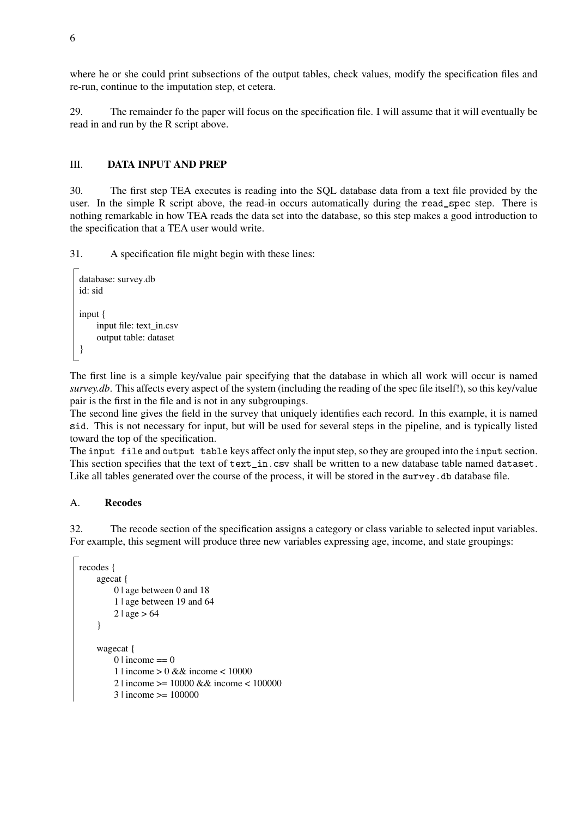where he or she could print subsections of the output tables, check values, modify the specification files and re-run, continue to the imputation step, et cetera.

29. The remainder fo the paper will focus on the specification file. I will assume that it will eventually be read in and run by the R script above.

### III. DATA INPUT AND PREP

30. The first step TEA executes is reading into the SQL database data from a text file provided by the user. In the simple R script above, the read-in occurs automatically during the read\_spec step. There is nothing remarkable in how TEA reads the data set into the database, so this step makes a good introduction to the specification that a TEA user would write.

31. A specification file might begin with these lines:

```
database: survey.db
id: sid
input {
     input file: text_in.csv
     output table: dataset
}
```
The first line is a simple key/value pair specifying that the database in which all work will occur is named *survey.db*. This affects every aspect of the system (including the reading of the spec file itself!), so this key/value pair is the first in the file and is not in any subgroupings.

The second line gives the field in the survey that uniquely identifies each record. In this example, it is named sid. This is not necessary for input, but will be used for several steps in the pipeline, and is typically listed toward the top of the specification.

The input file and output table keys affect only the input step, so they are grouped into the input section. This section specifies that the text of text\_in.csv shall be written to a new database table named dataset. Like all tables generated over the course of the process, it will be stored in the survey. db database file.

### A. Recodes

32. The recode section of the specification assigns a category or class variable to selected input variables. For example, this segment will produce three new variables expressing age, income, and state groupings:

```
recodes {
    agecat {
        0 | age between 0 and 18
         1 | age between 19 and 64
        2 | age > 64}
    wagecat {
        0 \mid income == 01 | income > 0 && income < 10000
        2 | income >= 10000 && income < 100000
        3 | income >= 100000
```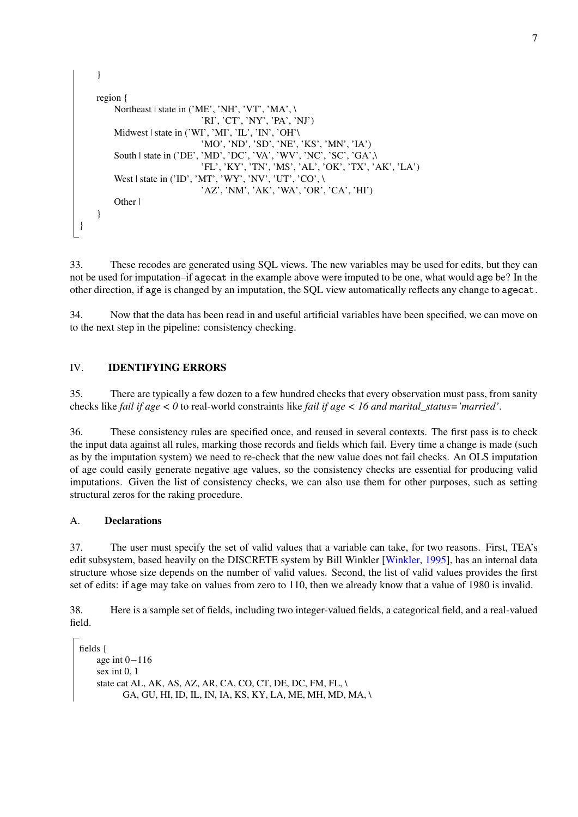```
}
    region {
        Northeast | state in ('ME', 'NH', 'VT', 'MA', \
                              'RI', 'CT', 'NY', 'PA', 'NJ')
        Midwest | state in ('WI', 'MI', 'IL', 'IN', 'OH'\
                              'MO', 'ND', 'SD', 'NE', 'KS', 'MN', 'IA')
        South | state in ('DE', 'MD', 'DC', 'VA', 'WV', 'NC', 'SC', 'GA',
                               'FL', 'KY', 'TN', 'MS', 'AL', 'OK', 'TX', 'AK', 'LA')
         West | state in ('ID', 'MT', 'WY', 'NV', 'UT', 'CO', \n)'AZ', 'NM', 'AK', 'WA', 'OR', 'CA', 'HI')
        Other |
    }
}
```
33. These recodes are generated using SQL views. The new variables may be used for edits, but they can not be used for imputation–if agecat in the example above were imputed to be one, what would age be? In the other direction, if age is changed by an imputation, the SQL view automatically reflects any change to agecat.

34. Now that the data has been read in and useful artificial variables have been specified, we can move on to the next step in the pipeline: consistency checking.

# <span id="page-6-0"></span>IV. IDENTIFYING ERRORS

35. There are typically a few dozen to a few hundred checks that every observation must pass, from sanity checks like *fail if age < 0* to real-world constraints like *fail if age < 16 and marital\_status='married'*.

36. These consistency rules are specified once, and reused in several contexts. The first pass is to check the input data against all rules, marking those records and fields which fail. Every time a change is made (such as by the imputation system) we need to re-check that the new value does not fail checks. An OLS imputation of age could easily generate negative age values, so the consistency checks are essential for producing valid imputations. Given the list of consistency checks, we can also use them for other purposes, such as setting structural zeros for the raking procedure.

### A. Declarations

37. The user must specify the set of valid values that a variable can take, for two reasons. First, TEA's edit subsystem, based heavily on the DISCRETE system by Bill Winkler [\[Winkler,](#page-11-4) [1995\]](#page-11-4), has an internal data structure whose size depends on the number of valid values. Second, the list of valid values provides the first set of edits: if age may take on values from zero to 110, then we already know that a value of 1980 is invalid.

38. Here is a sample set of fields, including two integer-valued fields, a categorical field, and a real-valued field.

```
fields {
    age int 0−116
    sex int 0, 1
    state cat AL, AK, AS, AZ, AR, CA, CO, CT, DE, DC, FM, FL, \
          GA, GU, HI, ID, IL, IN, IA, KS, KY, LA, ME, MH, MD, MA, \
```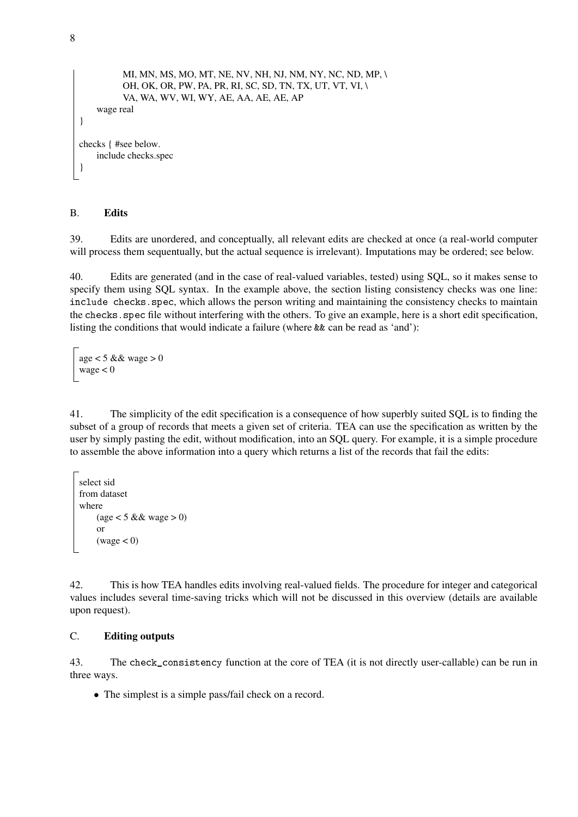```
MI, MN, MS, MO, MT, NE, NV, NH, NJ, NM, NY, NC, ND, MP, \
          OH, OK, OR, PW, PA, PR, RI, SC, SD, TN, TX, UT, VT, VI, \
          VA, WA, WV, WI, WY, AE, AA, AE, AE, AP
    wage real
}
checks { #see below.
    include checks.spec
}
```
#### B. Edits

39. Edits are unordered, and conceptually, all relevant edits are checked at once (a real-world computer will process them sequentually, but the actual sequence is irrelevant). Imputations may be ordered; see below.

40. Edits are generated (and in the case of real-valued variables, tested) using SQL, so it makes sense to specify them using SQL syntax. In the example above, the section listing consistency checks was one line: include checks.spec, which allows the person writing and maintaining the consistency checks to maintain the checks. spec file without interfering with the others. To give an example, here is a short edit specification, listing the conditions that would indicate a failure (where && can be read as 'and'):

age  $<$  5 && wage  $>$  0 wage  $< 0$ 

41. The simplicity of the edit specification is a consequence of how superbly suited SQL is to finding the subset of a group of records that meets a given set of criteria. TEA can use the specification as written by the user by simply pasting the edit, without modification, into an SQL query. For example, it is a simple procedure to assemble the above information into a query which returns a list of the records that fail the edits:

```
select sid
from dataset
where
     (age < 5 \&\&\text{ wage} > 0)or
     (wage < 0)
```
42. This is how TEA handles edits involving real-valued fields. The procedure for integer and categorical values includes several time-saving tricks which will not be discussed in this overview (details are available upon request).

### C. Editing outputs

43. The check\_consistency function at the core of TEA (it is not directly user-callable) can be run in three ways.

• The simplest is a simple pass/fail check on a record.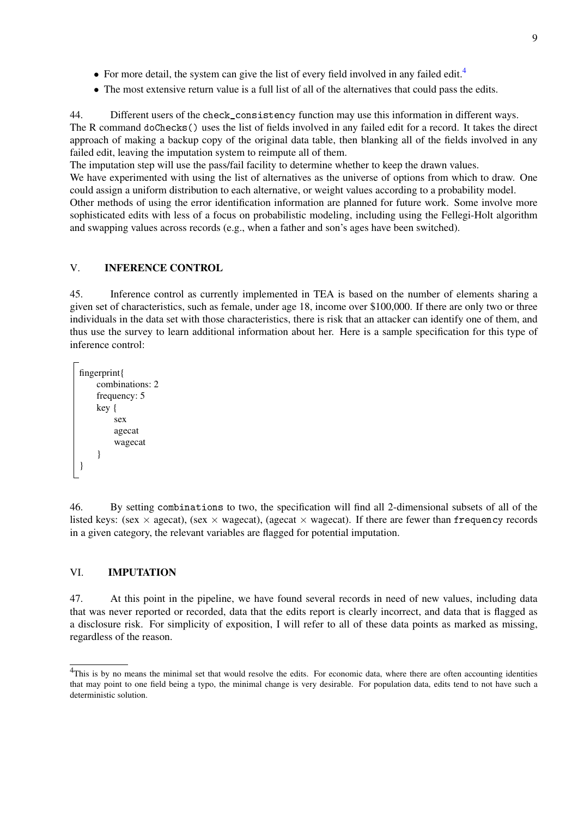- For more detail, the system can give the list of every field involved in any failed edit.<sup>[4](#page-0-0)</sup>
- The most extensive return value is a full list of all of the alternatives that could pass the edits.

44. Different users of the check\_consistency function may use this information in different ways. The R command doChecks() uses the list of fields involved in any failed edit for a record. It takes the direct approach of making a backup copy of the original data table, then blanking all of the fields involved in any failed edit, leaving the imputation system to reimpute all of them.

The imputation step will use the pass/fail facility to determine whether to keep the drawn values.

We have experimented with using the list of alternatives as the universe of options from which to draw. One could assign a uniform distribution to each alternative, or weight values according to a probability model.

Other methods of using the error identification information are planned for future work. Some involve more sophisticated edits with less of a focus on probabilistic modeling, including using the Fellegi-Holt algorithm and swapping values across records (e.g., when a father and son's ages have been switched).

#### <span id="page-8-0"></span>V. INFERENCE CONTROL

45. Inference control as currently implemented in TEA is based on the number of elements sharing a given set of characteristics, such as female, under age 18, income over \$100,000. If there are only two or three individuals in the data set with those characteristics, there is risk that an attacker can identify one of them, and thus use the survey to learn additional information about her. Here is a sample specification for this type of inference control:

```
fingerprint{
    combinations: 2
    frequency: 5
    key {
         sex
         agecat
         wagecat
    }
}
```
46. By setting combinations to two, the specification will find all 2-dimensional subsets of all of the listed keys: (sex  $\times$  agecat), (sex  $\times$  wagecat), (agecat  $\times$  wagecat). If there are fewer than frequency records in a given category, the relevant variables are flagged for potential imputation.

### <span id="page-8-1"></span>VI. IMPUTATION

47. At this point in the pipeline, we have found several records in need of new values, including data that was never reported or recorded, data that the edits report is clearly incorrect, and data that is flagged as a disclosure risk. For simplicity of exposition, I will refer to all of these data points as marked as missing, regardless of the reason.

<sup>&</sup>lt;sup>4</sup>This is by no means the minimal set that would resolve the edits. For economic data, where there are often accounting identities that may point to one field being a typo, the minimal change is very desirable. For population data, edits tend to not have such a deterministic solution.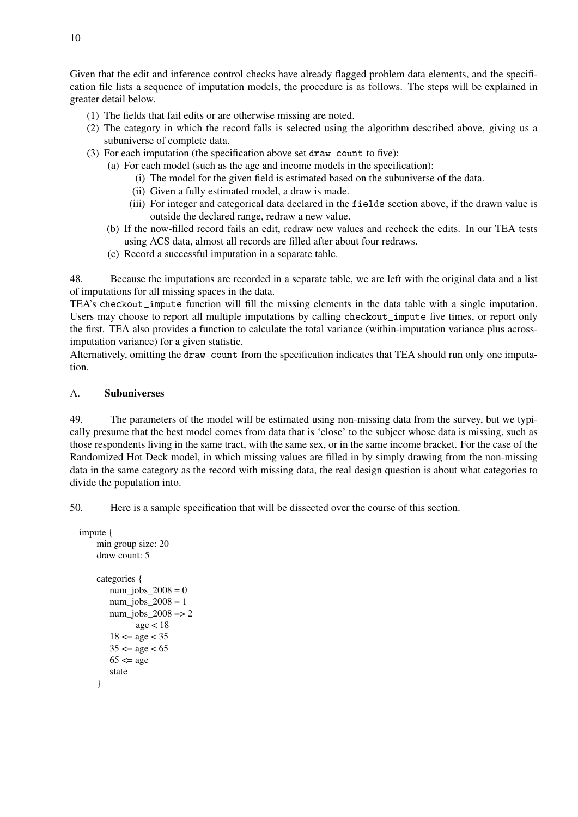Given that the edit and inference control checks have already flagged problem data elements, and the specification file lists a sequence of imputation models, the procedure is as follows. The steps will be explained in greater detail below.

- (1) The fields that fail edits or are otherwise missing are noted.
- (2) The category in which the record falls is selected using the algorithm described above, giving us a subuniverse of complete data.
- (3) For each imputation (the specification above set draw count to five):
	- (a) For each model (such as the age and income models in the specification):
		- (i) The model for the given field is estimated based on the subuniverse of the data.
		- (ii) Given a fully estimated model, a draw is made.
		- (iii) For integer and categorical data declared in the fields section above, if the drawn value is outside the declared range, redraw a new value.
	- (b) If the now-filled record fails an edit, redraw new values and recheck the edits. In our TEA tests using ACS data, almost all records are filled after about four redraws.
	- (c) Record a successful imputation in a separate table.

48. Because the imputations are recorded in a separate table, we are left with the original data and a list of imputations for all missing spaces in the data.

TEA's checkout impute function will fill the missing elements in the data table with a single imputation. Users may choose to report all multiple imputations by calling checkout\_impute five times, or report only the first. TEA also provides a function to calculate the total variance (within-imputation variance plus acrossimputation variance) for a given statistic.

Alternatively, omitting the draw count from the specification indicates that TEA should run only one imputation.

### A. Subuniverses

49. The parameters of the model will be estimated using non-missing data from the survey, but we typically presume that the best model comes from data that is 'close' to the subject whose data is missing, such as those respondents living in the same tract, with the same sex, or in the same income bracket. For the case of the Randomized Hot Deck model, in which missing values are filled in by simply drawing from the non-missing data in the same category as the record with missing data, the real design question is about what categories to divide the population into.

50. Here is a sample specification that will be dissected over the course of this section.

```
impute {
    min group size: 20
    draw count: 5
    categories {
       num jobs 2008 = 0num jobs 2008 = 1num\_jobs_2008 \Rightarrow 2age < 1818 \le age < 3535 \le age < 6565 \leq age
       state
    }
```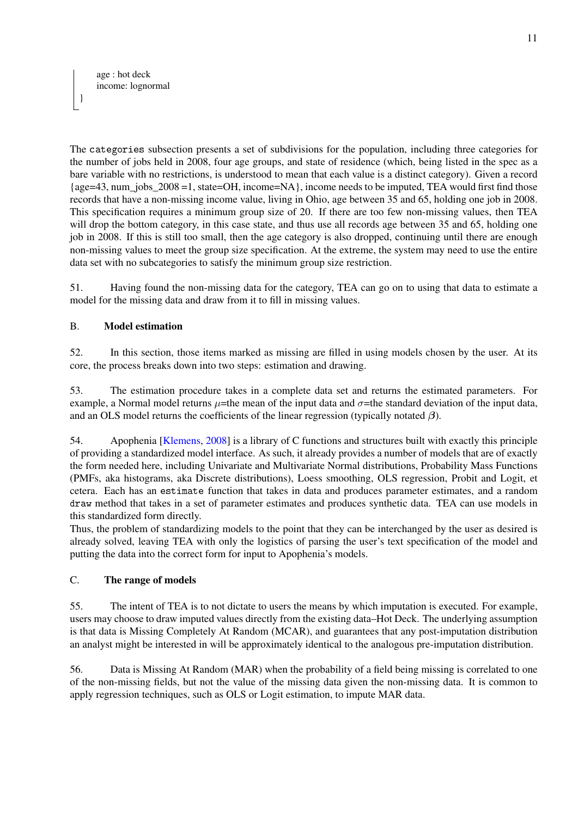}

The categories subsection presents a set of subdivisions for the population, including three categories for the number of jobs held in 2008, four age groups, and state of residence (which, being listed in the spec as a bare variable with no restrictions, is understood to mean that each value is a distinct category). Given a record {age=43, num\_jobs\_2008 =1, state=OH, income=NA}, income needs to be imputed, TEA would first find those records that have a non-missing income value, living in Ohio, age between 35 and 65, holding one job in 2008. This specification requires a minimum group size of 20. If there are too few non-missing values, then TEA will drop the bottom category, in this case state, and thus use all records age between 35 and 65, holding one job in 2008. If this is still too small, then the age category is also dropped, continuing until there are enough non-missing values to meet the group size specification. At the extreme, the system may need to use the entire data set with no subcategories to satisfy the minimum group size restriction.

51. Having found the non-missing data for the category, TEA can go on to using that data to estimate a model for the missing data and draw from it to fill in missing values.

# B. Model estimation

52. In this section, those items marked as missing are filled in using models chosen by the user. At its core, the process breaks down into two steps: estimation and drawing.

53. The estimation procedure takes in a complete data set and returns the estimated parameters. For example, a Normal model returns  $\mu$ =the mean of the input data and  $\sigma$ =the standard deviation of the input data, and an OLS model returns the coefficients of the linear regression (typically notated  $\beta$ ).

54. Apophenia [\[Klemens,](#page-11-6) [2008\]](#page-11-6) is a library of C functions and structures built with exactly this principle of providing a standardized model interface. As such, it already provides a number of models that are of exactly the form needed here, including Univariate and Multivariate Normal distributions, Probability Mass Functions (PMFs, aka histograms, aka Discrete distributions), Loess smoothing, OLS regression, Probit and Logit, et cetera. Each has an estimate function that takes in data and produces parameter estimates, and a random draw method that takes in a set of parameter estimates and produces synthetic data. TEA can use models in this standardized form directly.

Thus, the problem of standardizing models to the point that they can be interchanged by the user as desired is already solved, leaving TEA with only the logistics of parsing the user's text specification of the model and putting the data into the correct form for input to Apophenia's models.

## C. The range of models

55. The intent of TEA is to not dictate to users the means by which imputation is executed. For example, users may choose to draw imputed values directly from the existing data–Hot Deck. The underlying assumption is that data is Missing Completely At Random (MCAR), and guarantees that any post-imputation distribution an analyst might be interested in will be approximately identical to the analogous pre-imputation distribution.

56. Data is Missing At Random (MAR) when the probability of a field being missing is correlated to one of the non-missing fields, but not the value of the missing data given the non-missing data. It is common to apply regression techniques, such as OLS or Logit estimation, to impute MAR data.